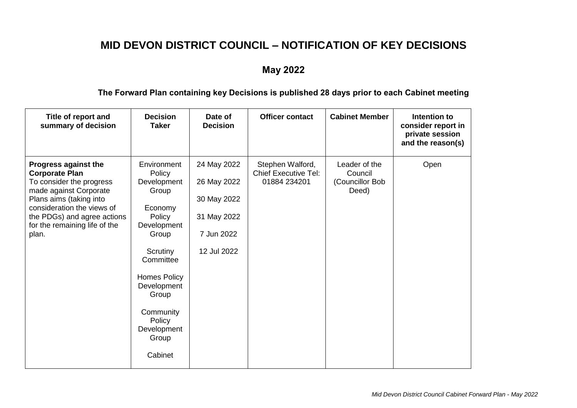## **MID DEVON DISTRICT COUNCIL – NOTIFICATION OF KEY DECISIONS**

## **May 2022**

## **The Forward Plan containing key Decisions is published 28 days prior to each Cabinet meeting**

| Title of report and<br>summary of decision                                                                                                                                                                                                   | <b>Decision</b><br><b>Taker</b>                                                                                                                                                                                       | Date of<br><b>Decision</b>                                                            | <b>Officer contact</b>                                          | <b>Cabinet Member</b>                                | Intention to<br>consider report in<br>private session<br>and the reason(s) |
|----------------------------------------------------------------------------------------------------------------------------------------------------------------------------------------------------------------------------------------------|-----------------------------------------------------------------------------------------------------------------------------------------------------------------------------------------------------------------------|---------------------------------------------------------------------------------------|-----------------------------------------------------------------|------------------------------------------------------|----------------------------------------------------------------------------|
| <b>Progress against the</b><br><b>Corporate Plan</b><br>To consider the progress<br>made against Corporate<br>Plans aims (taking into<br>consideration the views of<br>the PDGs) and agree actions<br>for the remaining life of the<br>plan. | Environment<br>Policy<br>Development<br>Group<br>Economy<br>Policy<br>Development<br>Group<br>Scrutiny<br>Committee<br>Homes Policy<br>Development<br>Group<br>Community<br>Policy<br>Development<br>Group<br>Cabinet | 24 May 2022<br>26 May 2022<br>30 May 2022<br>31 May 2022<br>7 Jun 2022<br>12 Jul 2022 | Stephen Walford,<br><b>Chief Executive Tel:</b><br>01884 234201 | Leader of the<br>Council<br>(Councillor Bob<br>Deed) | Open                                                                       |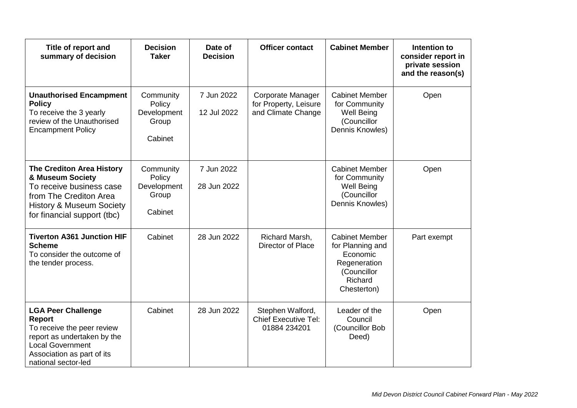| Title of report and<br>summary of decision                                                                                                                                              | <b>Decision</b><br><b>Taker</b>                        | Date of<br><b>Decision</b> | <b>Officer contact</b>                                           | <b>Cabinet Member</b>                                                                                          | Intention to<br>consider report in<br>private session<br>and the reason(s) |
|-----------------------------------------------------------------------------------------------------------------------------------------------------------------------------------------|--------------------------------------------------------|----------------------------|------------------------------------------------------------------|----------------------------------------------------------------------------------------------------------------|----------------------------------------------------------------------------|
| <b>Unauthorised Encampment</b><br><b>Policy</b><br>To receive the 3 yearly<br>review of the Unauthorised<br><b>Encampment Policy</b>                                                    | Community<br>Policy<br>Development<br>Group<br>Cabinet | 7 Jun 2022<br>12 Jul 2022  | Corporate Manager<br>for Property, Leisure<br>and Climate Change | <b>Cabinet Member</b><br>for Community<br><b>Well Being</b><br>(Councillor<br>Dennis Knowles)                  | Open                                                                       |
| <b>The Crediton Area History</b><br>& Museum Society<br>To receive business case<br>from The Crediton Area<br><b>History &amp; Museum Society</b><br>for financial support (tbc)        | Community<br>Policy<br>Development<br>Group<br>Cabinet | 7 Jun 2022<br>28 Jun 2022  |                                                                  | <b>Cabinet Member</b><br>for Community<br><b>Well Being</b><br>(Councillor<br>Dennis Knowles)                  | Open                                                                       |
| <b>Tiverton A361 Junction HIF</b><br><b>Scheme</b><br>To consider the outcome of<br>the tender process.                                                                                 | Cabinet                                                | 28 Jun 2022                | Richard Marsh,<br>Director of Place                              | <b>Cabinet Member</b><br>for Planning and<br>Economic<br>Regeneration<br>(Councillor<br>Richard<br>Chesterton) | Part exempt                                                                |
| <b>LGA Peer Challenge</b><br><b>Report</b><br>To receive the peer review<br>report as undertaken by the<br><b>Local Government</b><br>Association as part of its<br>national sector-led | Cabinet                                                | 28 Jun 2022                | Stephen Walford,<br><b>Chief Executive Tel:</b><br>01884 234201  | Leader of the<br>Council<br>(Councillor Bob<br>Deed)                                                           | Open                                                                       |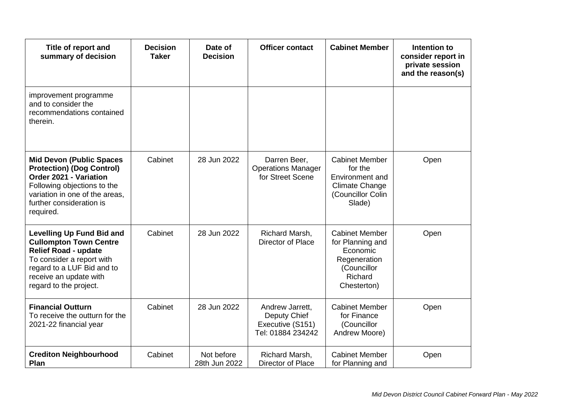| Title of report and<br>summary of decision                                                                                                                                                                      | <b>Decision</b><br><b>Taker</b> | Date of<br><b>Decision</b>  | <b>Officer contact</b>                                                   | <b>Cabinet Member</b>                                                                                          | Intention to<br>consider report in<br>private session<br>and the reason(s) |
|-----------------------------------------------------------------------------------------------------------------------------------------------------------------------------------------------------------------|---------------------------------|-----------------------------|--------------------------------------------------------------------------|----------------------------------------------------------------------------------------------------------------|----------------------------------------------------------------------------|
| improvement programme<br>and to consider the<br>recommendations contained<br>therein.                                                                                                                           |                                 |                             |                                                                          |                                                                                                                |                                                                            |
| <b>Mid Devon (Public Spaces</b><br><b>Protection) (Dog Control)</b><br>Order 2021 - Variation<br>Following objections to the<br>variation in one of the areas,<br>further consideration is<br>required.         | Cabinet                         | 28 Jun 2022                 | Darren Beer,<br><b>Operations Manager</b><br>for Street Scene            | <b>Cabinet Member</b><br>for the<br>Environment and<br><b>Climate Change</b><br>(Councillor Colin<br>Slade)    | Open                                                                       |
| <b>Levelling Up Fund Bid and</b><br><b>Cullompton Town Centre</b><br><b>Relief Road - update</b><br>To consider a report with<br>regard to a LUF Bid and to<br>receive an update with<br>regard to the project. | Cabinet                         | 28 Jun 2022                 | Richard Marsh,<br>Director of Place                                      | <b>Cabinet Member</b><br>for Planning and<br>Economic<br>Regeneration<br>(Councillor<br>Richard<br>Chesterton) | Open                                                                       |
| <b>Financial Outturn</b><br>To receive the outturn for the<br>2021-22 financial year                                                                                                                            | Cabinet                         | 28 Jun 2022                 | Andrew Jarrett,<br>Deputy Chief<br>Executive (S151)<br>Tel: 01884 234242 | <b>Cabinet Member</b><br>for Finance<br>(Councillor<br>Andrew Moore)                                           | Open                                                                       |
| <b>Crediton Neighbourhood</b><br>Plan                                                                                                                                                                           | Cabinet                         | Not before<br>28th Jun 2022 | Richard Marsh,<br>Director of Place                                      | <b>Cabinet Member</b><br>for Planning and                                                                      | Open                                                                       |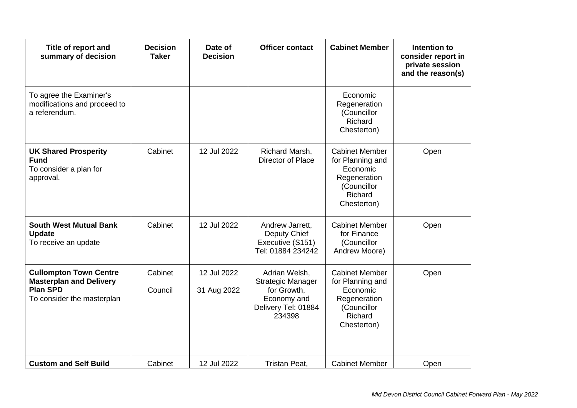| Title of report and<br>summary of decision                                                                       | <b>Decision</b><br><b>Taker</b> | Date of<br><b>Decision</b> | <b>Officer contact</b>                                                                                   | <b>Cabinet Member</b>                                                                                          | Intention to<br>consider report in<br>private session<br>and the reason(s) |
|------------------------------------------------------------------------------------------------------------------|---------------------------------|----------------------------|----------------------------------------------------------------------------------------------------------|----------------------------------------------------------------------------------------------------------------|----------------------------------------------------------------------------|
| To agree the Examiner's<br>modifications and proceed to<br>a referendum.                                         |                                 |                            |                                                                                                          | Economic<br>Regeneration<br>(Councillor<br>Richard<br>Chesterton)                                              |                                                                            |
| <b>UK Shared Prosperity</b><br><b>Fund</b><br>To consider a plan for<br>approval.                                | Cabinet                         | 12 Jul 2022                | Richard Marsh,<br>Director of Place                                                                      | <b>Cabinet Member</b><br>for Planning and<br>Economic<br>Regeneration<br>(Councillor<br>Richard<br>Chesterton) | Open                                                                       |
| <b>South West Mutual Bank</b><br><b>Update</b><br>To receive an update                                           | Cabinet                         | 12 Jul 2022                | Andrew Jarrett,<br>Deputy Chief<br>Executive (S151)<br>Tel: 01884 234242                                 | <b>Cabinet Member</b><br>for Finance<br>(Councillor<br>Andrew Moore)                                           | Open                                                                       |
| <b>Cullompton Town Centre</b><br><b>Masterplan and Delivery</b><br><b>Plan SPD</b><br>To consider the masterplan | Cabinet<br>Council              | 12 Jul 2022<br>31 Aug 2022 | Adrian Welsh,<br><b>Strategic Manager</b><br>for Growth,<br>Economy and<br>Delivery Tel: 01884<br>234398 | <b>Cabinet Member</b><br>for Planning and<br>Economic<br>Regeneration<br>(Councillor<br>Richard<br>Chesterton) | Open                                                                       |
| <b>Custom and Self Build</b>                                                                                     | Cabinet                         | 12 Jul 2022                | Tristan Peat,                                                                                            | <b>Cabinet Member</b>                                                                                          | Open                                                                       |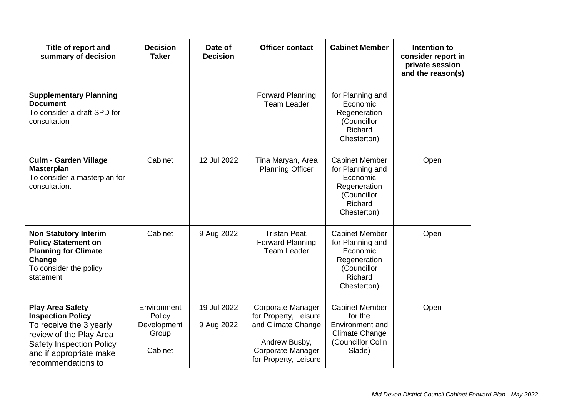| Title of report and<br>summary of decision                                                                                                                                                    | <b>Decision</b><br><b>Taker</b>                          | Date of<br><b>Decision</b> | <b>Officer contact</b>                                                                                                          | <b>Cabinet Member</b>                                                                                              | Intention to<br>consider report in<br>private session<br>and the reason(s) |
|-----------------------------------------------------------------------------------------------------------------------------------------------------------------------------------------------|----------------------------------------------------------|----------------------------|---------------------------------------------------------------------------------------------------------------------------------|--------------------------------------------------------------------------------------------------------------------|----------------------------------------------------------------------------|
| <b>Supplementary Planning</b><br><b>Document</b><br>To consider a draft SPD for<br>consultation                                                                                               |                                                          |                            | <b>Forward Planning</b><br><b>Team Leader</b>                                                                                   | for Planning and<br>Economic<br>Regeneration<br>(Councillor<br>Richard<br>Chesterton)                              |                                                                            |
| <b>Culm - Garden Village</b><br><b>Masterplan</b><br>To consider a masterplan for<br>consultation.                                                                                            | Cabinet                                                  | 12 Jul 2022                | Tina Maryan, Area<br><b>Planning Officer</b>                                                                                    | <b>Cabinet Member</b><br>for Planning and<br>Economic<br>Regeneration<br>(Councillor<br>Richard<br>Chesterton)     | Open                                                                       |
| <b>Non Statutory Interim</b><br><b>Policy Statement on</b><br><b>Planning for Climate</b><br>Change<br>To consider the policy<br>statement                                                    | Cabinet                                                  | 9 Aug 2022                 | Tristan Peat,<br><b>Forward Planning</b><br><b>Team Leader</b>                                                                  | <b>Cabinet Member</b><br>for Planning and<br>Economic<br>Regeneration<br>(Councillor<br>Richard<br>Chesterton)     | Open                                                                       |
| <b>Play Area Safety</b><br><b>Inspection Policy</b><br>To receive the 3 yearly<br>review of the Play Area<br><b>Safety Inspection Policy</b><br>and if appropriate make<br>recommendations to | Environment<br>Policy<br>Development<br>Group<br>Cabinet | 19 Jul 2022<br>9 Aug 2022  | Corporate Manager<br>for Property, Leisure<br>and Climate Change<br>Andrew Busby,<br>Corporate Manager<br>for Property, Leisure | <b>Cabinet Member</b><br>for the<br><b>Environment and</b><br><b>Climate Change</b><br>(Councillor Colin<br>Slade) | Open                                                                       |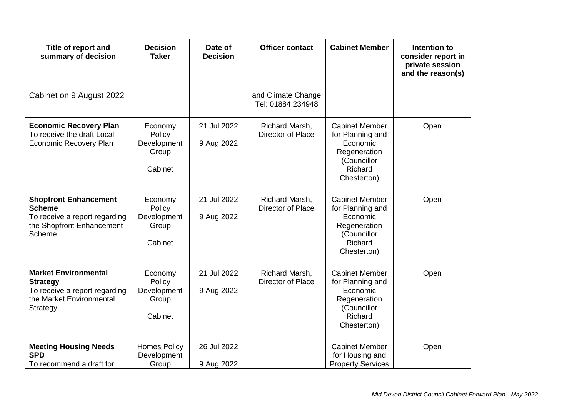| Title of report and<br>summary of decision                                                                              | <b>Decision</b><br><b>Taker</b>                      | Date of<br><b>Decision</b> | <b>Officer contact</b>                  | <b>Cabinet Member</b>                                                                                          | Intention to<br>consider report in<br>private session<br>and the reason(s) |
|-------------------------------------------------------------------------------------------------------------------------|------------------------------------------------------|----------------------------|-----------------------------------------|----------------------------------------------------------------------------------------------------------------|----------------------------------------------------------------------------|
| Cabinet on 9 August 2022                                                                                                |                                                      |                            | and Climate Change<br>Tel: 01884 234948 |                                                                                                                |                                                                            |
| <b>Economic Recovery Plan</b><br>To receive the draft Local<br>Economic Recovery Plan                                   | Economy<br>Policy<br>Development<br>Group<br>Cabinet | 21 Jul 2022<br>9 Aug 2022  | Richard Marsh,<br>Director of Place     | <b>Cabinet Member</b><br>for Planning and<br>Economic<br>Regeneration<br>(Councillor<br>Richard<br>Chesterton) | Open                                                                       |
| <b>Shopfront Enhancement</b><br><b>Scheme</b><br>To receive a report regarding<br>the Shopfront Enhancement<br>Scheme   | Economy<br>Policy<br>Development<br>Group<br>Cabinet | 21 Jul 2022<br>9 Aug 2022  | Richard Marsh,<br>Director of Place     | <b>Cabinet Member</b><br>for Planning and<br>Economic<br>Regeneration<br>(Councillor<br>Richard<br>Chesterton) | Open                                                                       |
| <b>Market Environmental</b><br><b>Strategy</b><br>To receive a report regarding<br>the Market Environmental<br>Strategy | Economy<br>Policy<br>Development<br>Group<br>Cabinet | 21 Jul 2022<br>9 Aug 2022  | Richard Marsh,<br>Director of Place     | <b>Cabinet Member</b><br>for Planning and<br>Economic<br>Regeneration<br>(Councillor<br>Richard<br>Chesterton) | Open                                                                       |
| <b>Meeting Housing Needs</b><br><b>SPD</b><br>To recommend a draft for                                                  | <b>Homes Policy</b><br>Development<br>Group          | 26 Jul 2022<br>9 Aug 2022  |                                         | <b>Cabinet Member</b><br>for Housing and<br><b>Property Services</b>                                           | Open                                                                       |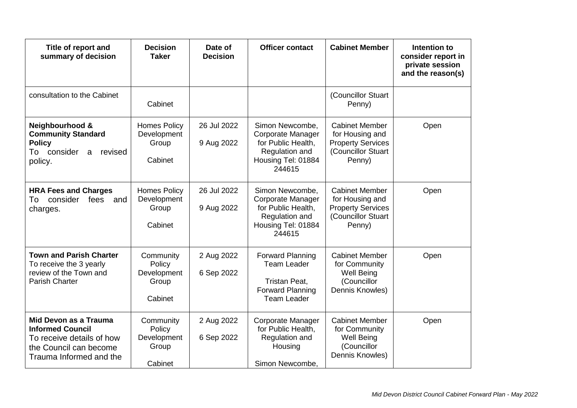| Title of report and<br>summary of decision                                                                                         | <b>Decision</b><br><b>Taker</b>                        | Date of<br><b>Decision</b> | <b>Officer contact</b>                                                                                              | <b>Cabinet Member</b>                                                                                | Intention to<br>consider report in<br>private session<br>and the reason(s) |
|------------------------------------------------------------------------------------------------------------------------------------|--------------------------------------------------------|----------------------------|---------------------------------------------------------------------------------------------------------------------|------------------------------------------------------------------------------------------------------|----------------------------------------------------------------------------|
| consultation to the Cabinet                                                                                                        | Cabinet                                                |                            |                                                                                                                     | (Councillor Stuart<br>Penny)                                                                         |                                                                            |
| Neighbourhood &<br><b>Community Standard</b><br><b>Policy</b><br>To consider<br>revised<br>a<br>policy.                            | <b>Homes Policy</b><br>Development<br>Group<br>Cabinet | 26 Jul 2022<br>9 Aug 2022  | Simon Newcombe,<br><b>Corporate Manager</b><br>for Public Health,<br>Regulation and<br>Housing Tel: 01884<br>244615 | <b>Cabinet Member</b><br>for Housing and<br><b>Property Services</b><br>(Councillor Stuart<br>Penny) | Open                                                                       |
| <b>HRA Fees and Charges</b><br>consider<br>fees<br>To<br>and<br>charges.                                                           | <b>Homes Policy</b><br>Development<br>Group<br>Cabinet | 26 Jul 2022<br>9 Aug 2022  | Simon Newcombe,<br>Corporate Manager<br>for Public Health,<br>Regulation and<br>Housing Tel: 01884<br>244615        | <b>Cabinet Member</b><br>for Housing and<br><b>Property Services</b><br>(Councillor Stuart<br>Penny) | Open                                                                       |
| <b>Town and Parish Charter</b><br>To receive the 3 yearly<br>review of the Town and<br>Parish Charter                              | Community<br>Policy<br>Development<br>Group<br>Cabinet | 2 Aug 2022<br>6 Sep 2022   | <b>Forward Planning</b><br><b>Team Leader</b><br>Tristan Peat,<br><b>Forward Planning</b><br><b>Team Leader</b>     | <b>Cabinet Member</b><br>for Community<br><b>Well Being</b><br>(Councillor<br>Dennis Knowles)        | Open                                                                       |
| Mid Devon as a Trauma<br><b>Informed Council</b><br>To receive details of how<br>the Council can become<br>Trauma Informed and the | Community<br>Policy<br>Development<br>Group<br>Cabinet | 2 Aug 2022<br>6 Sep 2022   | <b>Corporate Manager</b><br>for Public Health,<br>Regulation and<br>Housing<br>Simon Newcombe,                      | <b>Cabinet Member</b><br>for Community<br><b>Well Being</b><br>(Councillor<br>Dennis Knowles)        | Open                                                                       |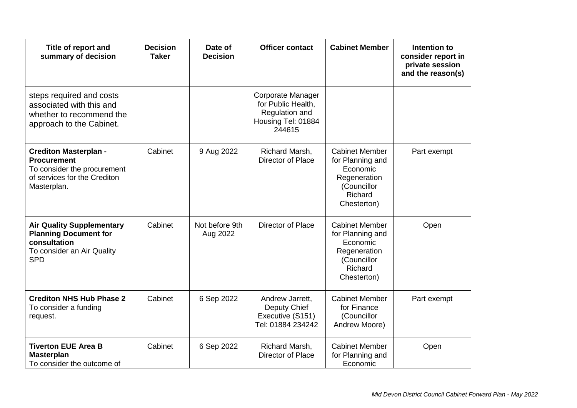| Title of report and<br>summary of decision                                                                                       | <b>Decision</b><br><b>Taker</b> | Date of<br><b>Decision</b> | <b>Officer contact</b>                                                                    | <b>Cabinet Member</b>                                                                                          | Intention to<br>consider report in<br>private session<br>and the reason(s) |
|----------------------------------------------------------------------------------------------------------------------------------|---------------------------------|----------------------------|-------------------------------------------------------------------------------------------|----------------------------------------------------------------------------------------------------------------|----------------------------------------------------------------------------|
| steps required and costs<br>associated with this and<br>whether to recommend the<br>approach to the Cabinet.                     |                                 |                            | Corporate Manager<br>for Public Health,<br>Regulation and<br>Housing Tel: 01884<br>244615 |                                                                                                                |                                                                            |
| <b>Crediton Masterplan -</b><br><b>Procurement</b><br>To consider the procurement<br>of services for the Crediton<br>Masterplan. | Cabinet                         | 9 Aug 2022                 | Richard Marsh,<br>Director of Place                                                       | <b>Cabinet Member</b><br>for Planning and<br>Economic<br>Regeneration<br>(Councillor<br>Richard<br>Chesterton) | Part exempt                                                                |
| <b>Air Quality Supplementary</b><br><b>Planning Document for</b><br>consultation<br>To consider an Air Quality<br><b>SPD</b>     | Cabinet                         | Not before 9th<br>Aug 2022 | Director of Place                                                                         | <b>Cabinet Member</b><br>for Planning and<br>Economic<br>Regeneration<br>(Councillor<br>Richard<br>Chesterton) | Open                                                                       |
| <b>Crediton NHS Hub Phase 2</b><br>To consider a funding<br>request.                                                             | Cabinet                         | 6 Sep 2022                 | Andrew Jarrett,<br>Deputy Chief<br>Executive (S151)<br>Tel: 01884 234242                  | <b>Cabinet Member</b><br>for Finance<br>(Councillor<br>Andrew Moore)                                           | Part exempt                                                                |
| <b>Tiverton EUE Area B</b><br><b>Masterplan</b><br>To consider the outcome of                                                    | Cabinet                         | 6 Sep 2022                 | Richard Marsh,<br>Director of Place                                                       | <b>Cabinet Member</b><br>for Planning and<br>Economic                                                          | Open                                                                       |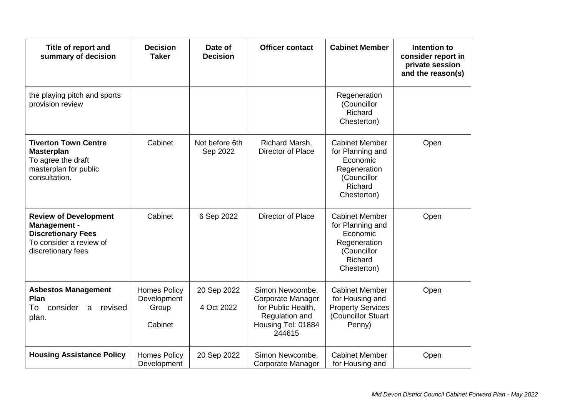| Title of report and<br>summary of decision                                                                                        | <b>Decision</b><br><b>Taker</b>                        | Date of<br><b>Decision</b> | <b>Officer contact</b>                                                                                              | <b>Cabinet Member</b>                                                                                          | Intention to<br>consider report in<br>private session<br>and the reason(s) |
|-----------------------------------------------------------------------------------------------------------------------------------|--------------------------------------------------------|----------------------------|---------------------------------------------------------------------------------------------------------------------|----------------------------------------------------------------------------------------------------------------|----------------------------------------------------------------------------|
| the playing pitch and sports<br>provision review                                                                                  |                                                        |                            |                                                                                                                     | Regeneration<br>(Councillor<br>Richard<br>Chesterton)                                                          |                                                                            |
| <b>Tiverton Town Centre</b><br><b>Masterplan</b><br>To agree the draft<br>masterplan for public<br>consultation.                  | Cabinet                                                | Not before 6th<br>Sep 2022 | Richard Marsh,<br>Director of Place                                                                                 | <b>Cabinet Member</b><br>for Planning and<br>Economic<br>Regeneration<br>(Councillor<br>Richard<br>Chesterton) | Open                                                                       |
| <b>Review of Development</b><br><b>Management -</b><br><b>Discretionary Fees</b><br>To consider a review of<br>discretionary fees | Cabinet                                                | 6 Sep 2022                 | Director of Place                                                                                                   | <b>Cabinet Member</b><br>for Planning and<br>Economic<br>Regeneration<br>(Councillor<br>Richard<br>Chesterton) | Open                                                                       |
| <b>Asbestos Management</b><br>Plan<br>To<br>consider<br>revised<br>a<br>plan.                                                     | <b>Homes Policy</b><br>Development<br>Group<br>Cabinet | 20 Sep 2022<br>4 Oct 2022  | Simon Newcombe,<br><b>Corporate Manager</b><br>for Public Health,<br>Regulation and<br>Housing Tel: 01884<br>244615 | <b>Cabinet Member</b><br>for Housing and<br><b>Property Services</b><br>(Councillor Stuart<br>Penny)           | Open                                                                       |
| <b>Housing Assistance Policy</b>                                                                                                  | <b>Homes Policy</b><br>Development                     | 20 Sep 2022                | Simon Newcombe,<br>Corporate Manager                                                                                | <b>Cabinet Member</b><br>for Housing and                                                                       | Open                                                                       |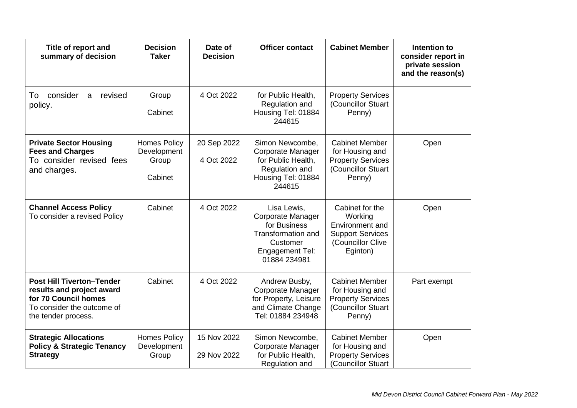| Title of report and<br>summary of decision                                                                                                 | <b>Decision</b><br><b>Taker</b>                        | Date of<br><b>Decision</b> | <b>Officer contact</b>                                                                                                | <b>Cabinet Member</b>                                                                                     | Intention to<br>consider report in<br>private session<br>and the reason(s) |
|--------------------------------------------------------------------------------------------------------------------------------------------|--------------------------------------------------------|----------------------------|-----------------------------------------------------------------------------------------------------------------------|-----------------------------------------------------------------------------------------------------------|----------------------------------------------------------------------------|
| consider<br>revised<br>To<br>a<br>policy.                                                                                                  | Group<br>Cabinet                                       | 4 Oct 2022                 | for Public Health,<br>Regulation and<br>Housing Tel: 01884<br>244615                                                  | <b>Property Services</b><br>(Councillor Stuart<br>Penny)                                                  |                                                                            |
| <b>Private Sector Housing</b><br><b>Fees and Charges</b><br>To consider revised fees<br>and charges.                                       | <b>Homes Policy</b><br>Development<br>Group<br>Cabinet | 20 Sep 2022<br>4 Oct 2022  | Simon Newcombe,<br><b>Corporate Manager</b><br>for Public Health,<br>Regulation and<br>Housing Tel: 01884<br>244615   | <b>Cabinet Member</b><br>for Housing and<br><b>Property Services</b><br>(Councillor Stuart<br>Penny)      | Open                                                                       |
| <b>Channel Access Policy</b><br>To consider a revised Policy                                                                               | Cabinet                                                | 4 Oct 2022                 | Lisa Lewis,<br>Corporate Manager<br>for Business<br>Transformation and<br>Customer<br>Engagement Tel:<br>01884 234981 | Cabinet for the<br>Working<br>Environment and<br><b>Support Services</b><br>(Councillor Clive<br>Eginton) | Open                                                                       |
| <b>Post Hill Tiverton-Tender</b><br>results and project award<br>for 70 Council homes<br>To consider the outcome of<br>the tender process. | Cabinet                                                | 4 Oct 2022                 | Andrew Busby,<br><b>Corporate Manager</b><br>for Property, Leisure<br>and Climate Change<br>Tel: 01884 234948         | <b>Cabinet Member</b><br>for Housing and<br><b>Property Services</b><br>(Councillor Stuart<br>Penny)      | Part exempt                                                                |
| <b>Strategic Allocations</b><br><b>Policy &amp; Strategic Tenancy</b><br><b>Strategy</b>                                                   | <b>Homes Policy</b><br>Development<br>Group            | 15 Nov 2022<br>29 Nov 2022 | Simon Newcombe,<br><b>Corporate Manager</b><br>for Public Health,<br>Regulation and                                   | <b>Cabinet Member</b><br>for Housing and<br><b>Property Services</b><br>(Councillor Stuart                | Open                                                                       |